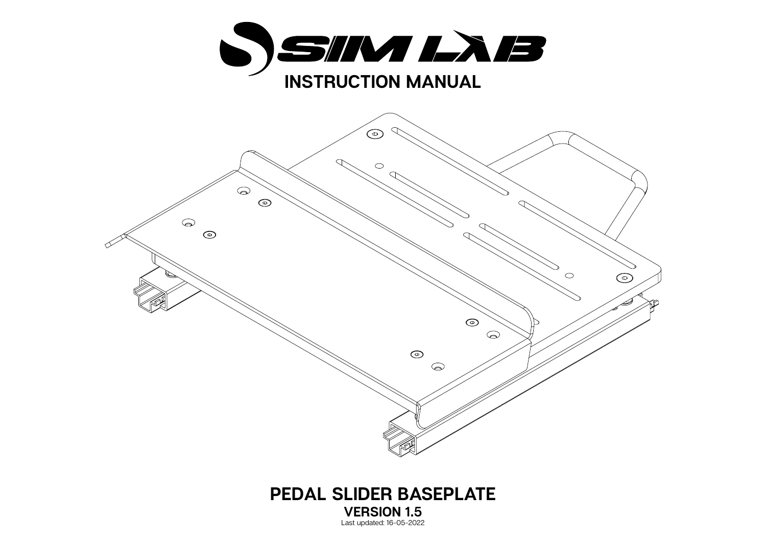



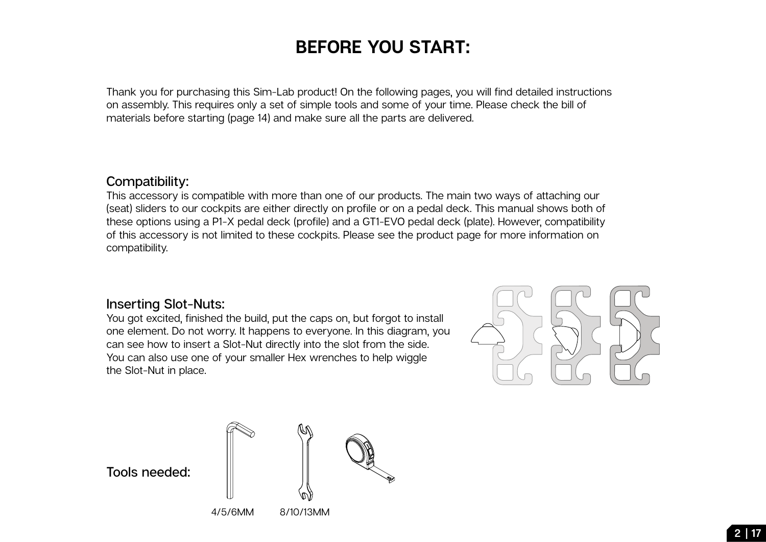## **BEFORE YOU START:**

Thank you for purchasing this Sim-Lab product! On the following pages, you will find detailed instructions on assembly. This requires only a set of simple tools and some of your time. Please check the bill of materials before starting (page 14) and make sure all the parts are delivered.

## **Compatibility:**

This accessory is compatible with more than one of our products. The main two ways of attaching our (seat) sliders to our cockpits are either directly on profile or on a pedal deck. This manual shows both of these options using a P1-X pedal deck (profile) and a GT1-EVO pedal deck (plate). However, compatibility of this accessory is not limited to these cockpits. Please see the product page for more information on compatibility.

## **Inserting Slot-Nuts:**

You got excited, finished the build, put the caps on, but forgot to install one element. Do not worry. It happens to everyone. In this diagram, you can see how to insert a Slot-Nut directly into the slot from the side. You can also use one of your smaller Hex wrenches to help wiggle the Slot-Nut in place.



**Tools needed:**



4/5/6MM 8/10/13MM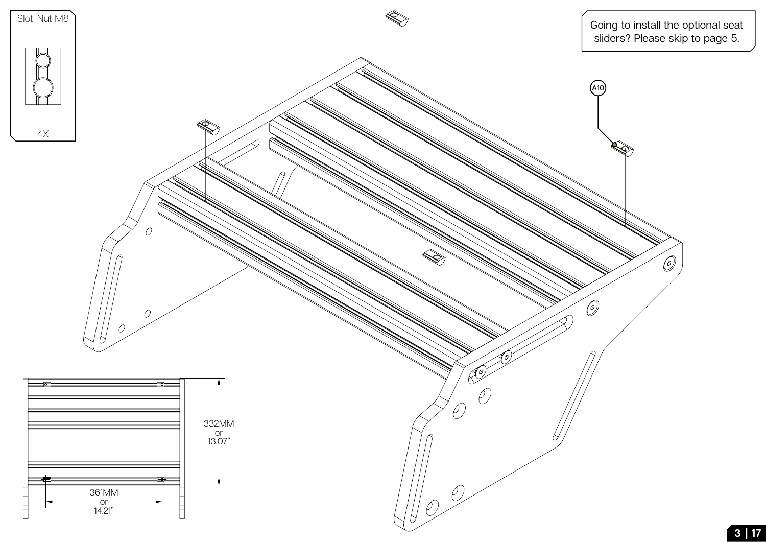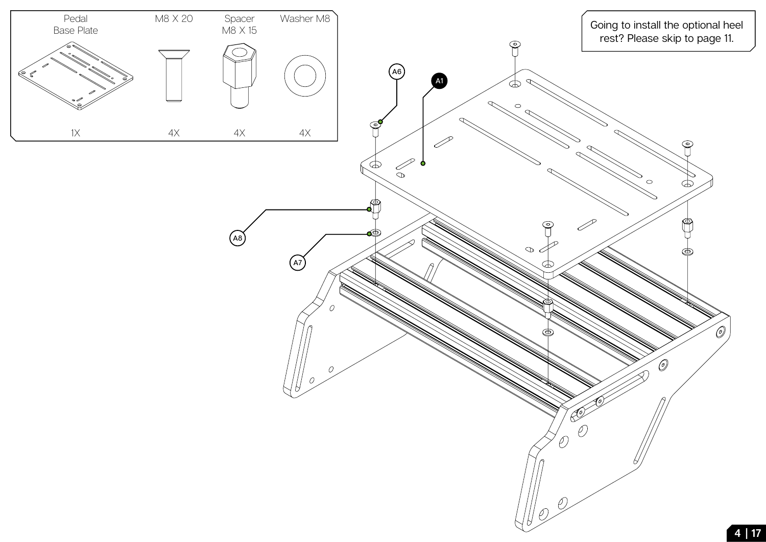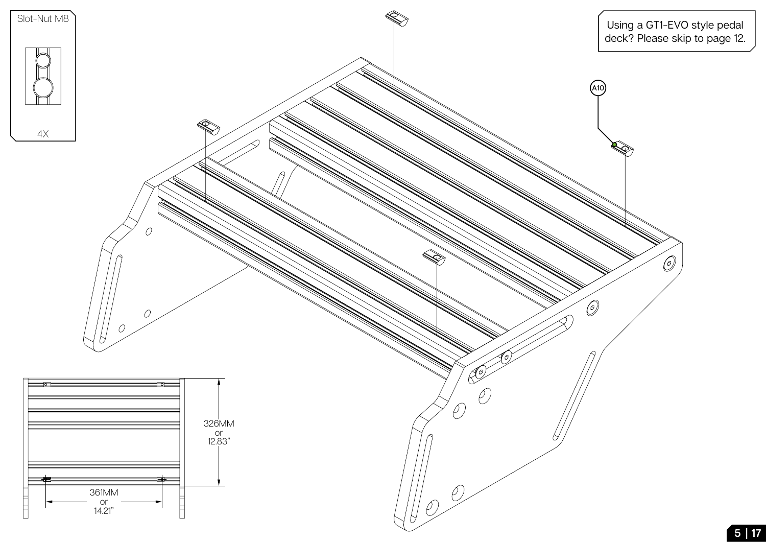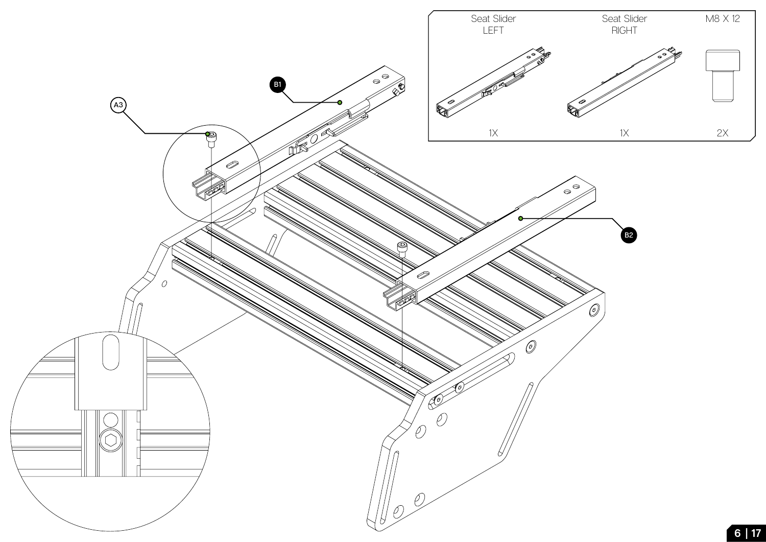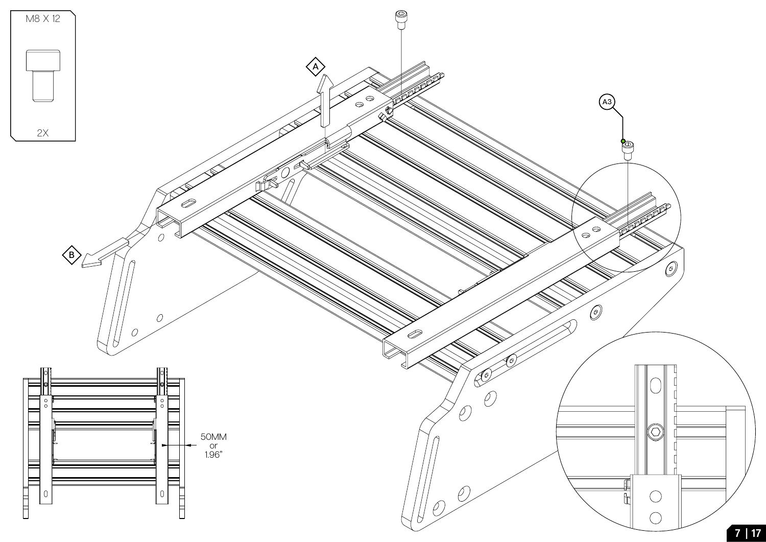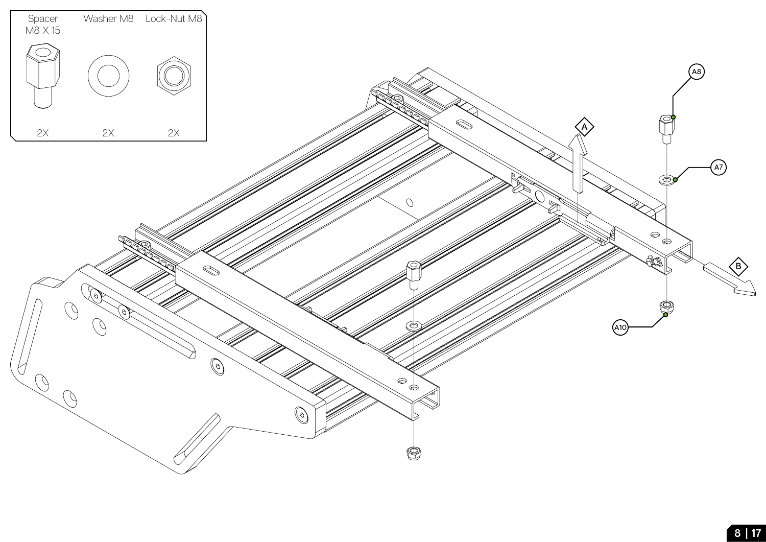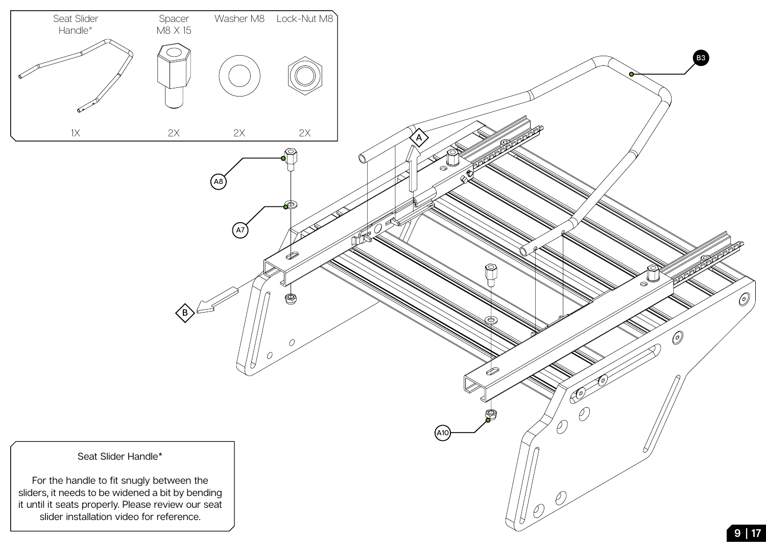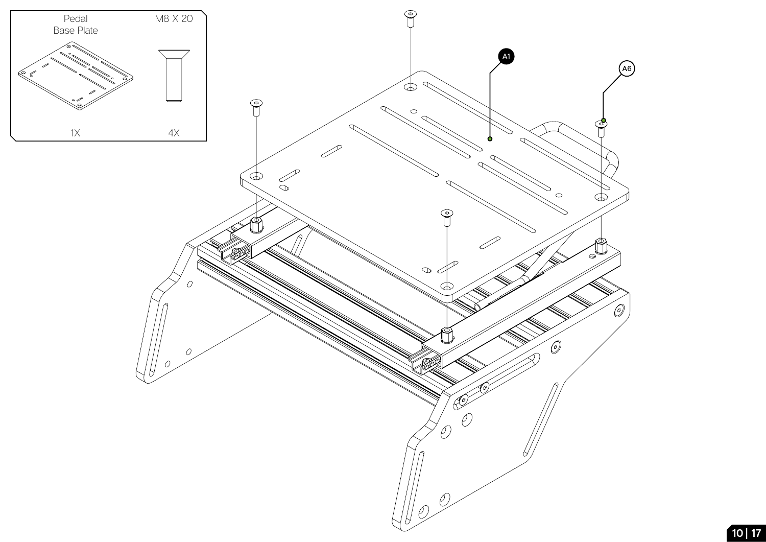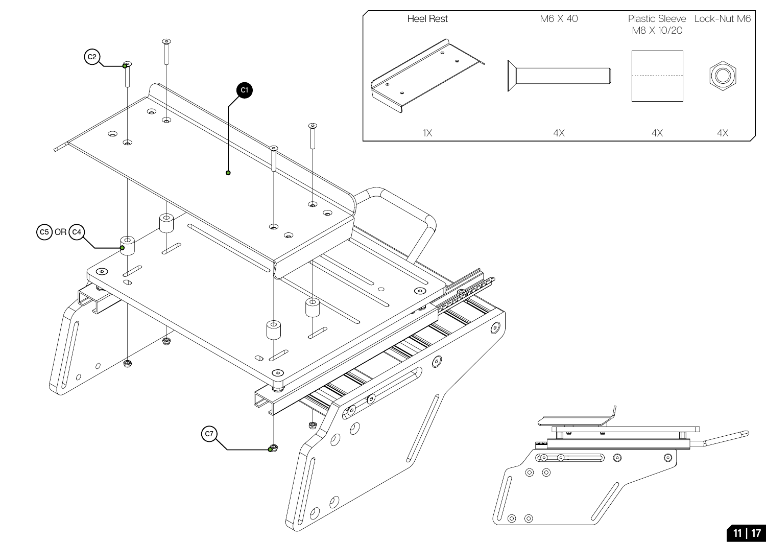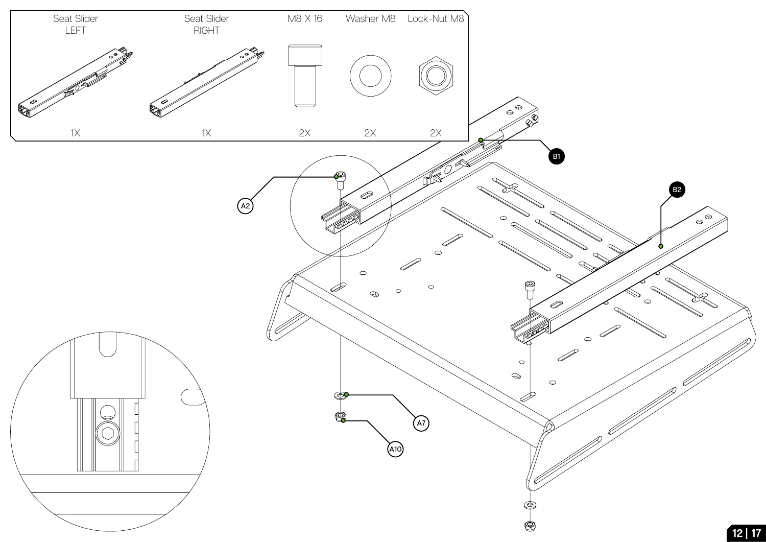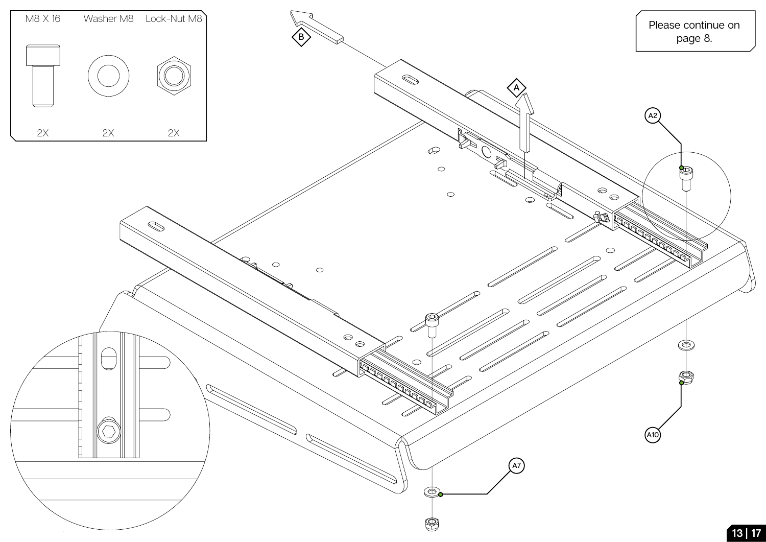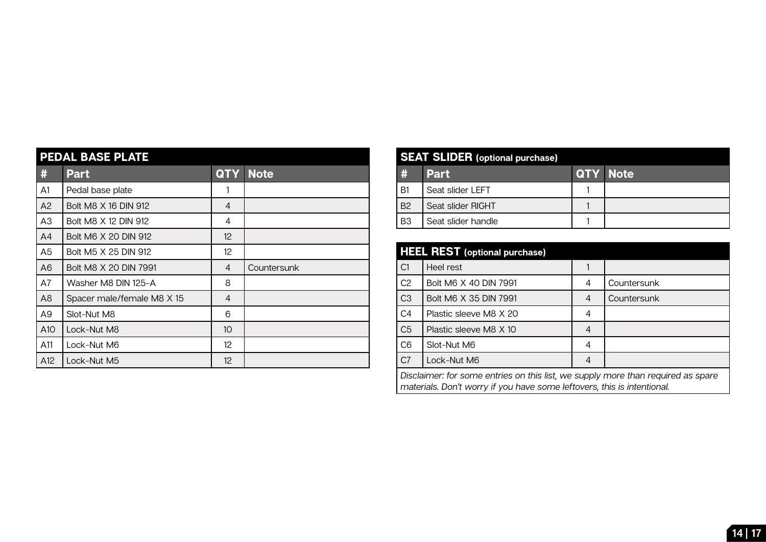| <b>PEDAL BASE PLATE</b> |                            |                   |             |  |  |
|-------------------------|----------------------------|-------------------|-------------|--|--|
| #                       | <b>Part</b>                | <b>QTY</b>        | <b>Note</b> |  |  |
| A <sub>1</sub>          | Pedal base plate           | 1                 |             |  |  |
| A2                      | Bolt M8 X 16 DIN 912       | 4                 |             |  |  |
| A <sub>3</sub>          | Bolt M8 X 12 DIN 912       | 4                 |             |  |  |
| A <sub>4</sub>          | Bolt M6 X 20 DIN 912       | $12 \overline{ }$ |             |  |  |
| A5                      | Bolt M5 X 25 DIN 912       | 12                |             |  |  |
| A <sub>6</sub>          | Bolt M8 X 20 DIN 7991      | $\overline{4}$    | Countersunk |  |  |
| A7                      | Washer M8 DIN 125-A        | 8                 |             |  |  |
| A <sub>8</sub>          | Spacer male/female M8 X 15 | 4                 |             |  |  |
| A9                      | Slot-Nut M8                | 6                 |             |  |  |
| A10                     | Lock-Nut M8                | 10 <sup>°</sup>   |             |  |  |
| A11                     | Lock-Nut M6                | 12                |             |  |  |
| A12                     | Lock-Nut M5                | 12 <sup>2</sup>   |             |  |  |

| <b>SEAT SLIDER</b> (optional purchase) |                    |                 |  |  |  |
|----------------------------------------|--------------------|-----------------|--|--|--|
| #                                      | <b>Part</b>        | <b>QTY Note</b> |  |  |  |
| , B1                                   | Seat slider LEFT   |                 |  |  |  |
| B <sub>2</sub>                         | Seat slider RIGHT  |                 |  |  |  |
| B <sub>3</sub>                         | Seat slider handle |                 |  |  |  |

| <b>HEEL REST</b> (optional purchase)                                                                                                                        |                        |   |             |  |  |
|-------------------------------------------------------------------------------------------------------------------------------------------------------------|------------------------|---|-------------|--|--|
| C <sub>1</sub>                                                                                                                                              | Heel rest              |   |             |  |  |
| C <sub>2</sub>                                                                                                                                              | Bolt M6 X 40 DIN 7991  | 4 | Countersunk |  |  |
| C <sub>3</sub>                                                                                                                                              | Bolt M6 X 35 DIN 7991  | 4 | Countersunk |  |  |
| C <sub>4</sub>                                                                                                                                              | Plastic sleeve M8 X 20 | 4 |             |  |  |
| C <sub>5</sub>                                                                                                                                              | Plastic sleeve M8 X 10 | 4 |             |  |  |
| C <sub>6</sub>                                                                                                                                              | Slot-Nut M6            | 4 |             |  |  |
| C <sub>7</sub>                                                                                                                                              | Lock-Nut M6            | 4 |             |  |  |
| Disclaimer: for some entries on this list, we supply more than required as spare<br>materials. Don't worry if you have some leftovers, this is intentional. |                        |   |             |  |  |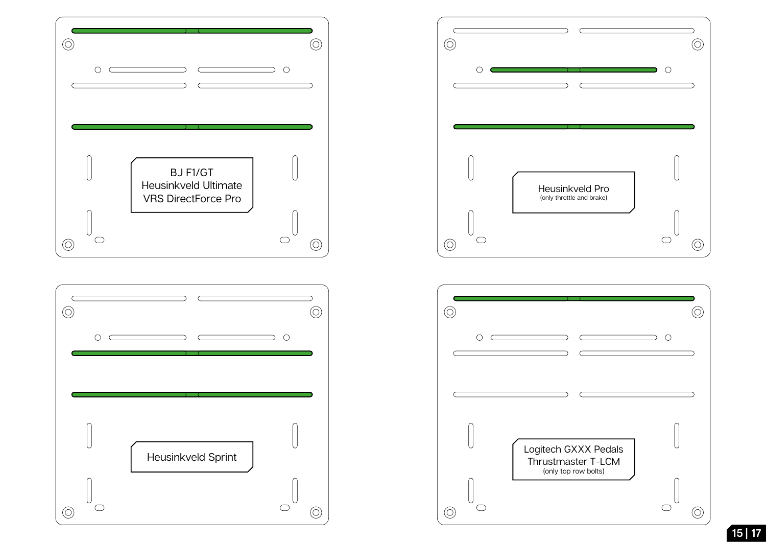![](_page_14_Figure_0.jpeg)

![](_page_14_Figure_1.jpeg)

![](_page_14_Figure_2.jpeg)

![](_page_14_Figure_3.jpeg)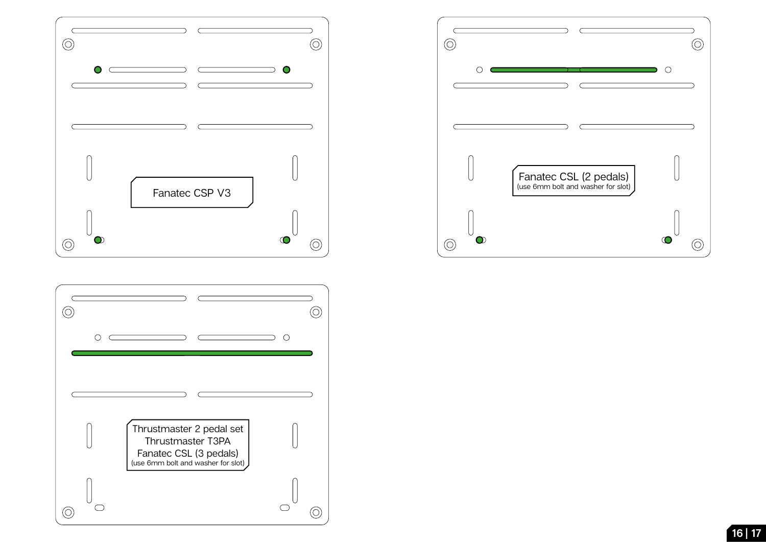![](_page_15_Figure_0.jpeg)

![](_page_15_Figure_1.jpeg)

![](_page_15_Figure_2.jpeg)